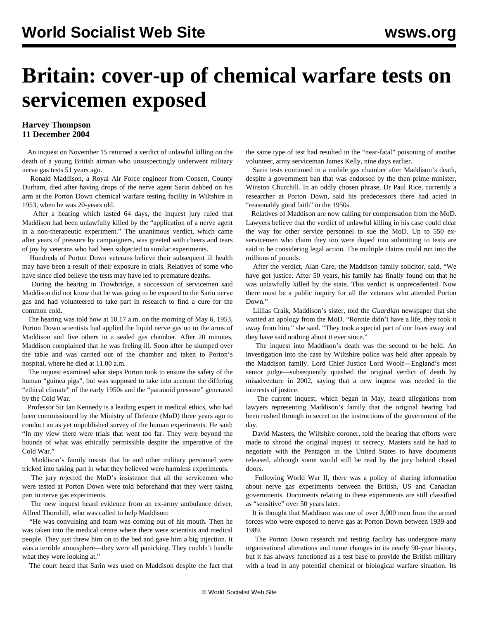## **Britain: cover-up of chemical warfare tests on servicemen exposed**

## **Harvey Thompson 11 December 2004**

 An inquest on November 15 returned a verdict of unlawful killing on the death of a young British airman who unsuspectingly underwent military nerve gas tests 51 years ago.

 Ronald Maddison, a Royal Air Force engineer from Consett, County Durham, died after having drops of the nerve agent Sarin dabbed on his arm at the Porton Down chemical warfare testing facility in Wiltshire in 1953, when he was 20-years old.

 After a hearing which lasted 64 days, the inquest jury ruled that Maddison had been unlawfully killed by the "application of a nerve agent in a non-therapeutic experiment." The unanimous verdict, which came after years of pressure by campaigners, was greeted with cheers and tears of joy by veterans who had been subjected to similar experiments.

 Hundreds of Porton Down veterans believe their subsequent ill health may have been a result of their exposure in trials. Relatives of some who have since died believe the tests may have led to premature deaths.

 During the hearing in Trowbridge, a succession of servicemen said Maddison did not know that he was going to be exposed to the Sarin nerve gas and had volunteered to take part in research to find a cure for the common cold.

 The hearing was told how at 10.17 a.m. on the morning of May 6, 1953, Porton Down scientists had applied the liquid nerve gas on to the arms of Maddison and five others in a sealed gas chamber. After 20 minutes, Maddison complained that he was feeling ill. Soon after he slumped over the table and was carried out of the chamber and taken to Porton's hospital, where he died at 11.00 a.m.

 The inquest examined what steps Porton took to ensure the safety of the human "guinea pigs", but was supposed to take into account the differing "ethical climate" of the early 1950s and the "paranoid pressure" generated by the Cold War.

 Professor Sir Ian Kennedy is a leading expert in medical ethics, who had been commissioned by the Ministry of Defence (MoD) three years ago to conduct an as yet unpublished survey of the human experiments. He said: "In my view there were trials that went too far. They were beyond the bounds of what was ethically permissible despite the imperative of the Cold War."

 Maddison's family insists that he and other military personnel were tricked into taking part in what they believed were harmless experiments.

 The jury rejected the MoD's insistence that all the servicemen who were tested at Porton Down were told beforehand that they were taking part in nerve gas experiments.

 The new inquest heard evidence from an ex-army ambulance driver, Alfred Thornhill, who was called to help Maddison:

 "He was convulsing and foam was coming out of his mouth. Then he was taken into the medical centre where there were scientists and medical people. They just threw him on to the bed and gave him a big injection. It was a terrible atmosphere—they were all panicking. They couldn't handle what they were looking at."

The court heard that Sarin was used on Maddison despite the fact that

the same type of test had resulted in the "near-fatal" poisoning of another volunteer, army serviceman James Kelly, nine days earlier.

 Sarin tests continued in a mobile gas chamber after Maddison's death, despite a government ban that was endorsed by the then prime minister, Winston Churchill. In an oddly chosen phrase, Dr Paul Rice, currently a researcher at Porton Down, said his predecessors there had acted in "reasonably good faith" in the 1950s.

 Relatives of Maddison are now calling for compensation from the MoD. Lawyers believe that the verdict of unlawful killing in his case could clear the way for other service personnel to sue the MoD. Up to 550 exservicemen who claim they too were duped into submitting to tests are said to be considering legal action. The multiple claims could run into the millions of pounds.

 After the verdict, Alan Care, the Maddison family solicitor, said, "We have got justice. After 50 years, his family has finally found out that he was unlawfully killed by the state. This verdict is unprecedented. Now there must be a public inquiry for all the veterans who attended Porton Down."

 Lillias Craik, Maddison's sister, told the *Guardian* newspaper that she wanted an apology from the MoD. "Ronnie didn't have a life, they took it away from him," she said. "They took a special part of our lives away and they have said nothing about it ever since."

 The inquest into Maddison's death was the second to be held. An investigation into the case by Wiltshire police was held after appeals by the Maddison family. Lord Chief Justice Lord Woolf—England's most senior judge—subsequently quashed the original verdict of death by misadventure in 2002, saying that a new inquest was needed in the interests of justice.

 The current inquest, which began in May, heard allegations from lawyers representing Maddison's family that the original hearing had been rushed through in secret on the instructions of the government of the day.

 David Masters, the Wiltshire coroner, told the hearing that efforts were made to shroud the original inquest in secrecy. Masters said he had to negotiate with the Pentagon in the United States to have documents released, although some would still be read by the jury behind closed doors.

 Following World War II, there was a policy of sharing information about nerve gas experiments between the British, US and Canadian governments. Documents relating to these experiments are still classified as "sensitive" over 50 years later.

 It is thought that Maddison was one of over 3,000 men from the armed forces who were exposed to nerve gas at Porton Down between 1939 and 1989.

 The Porton Down research and testing facility has undergone many organisational alterations and name changes in its nearly 90-year history, but it has always functioned as a test base to provide the British military with a lead in any potential chemical or biological warfare situation. Its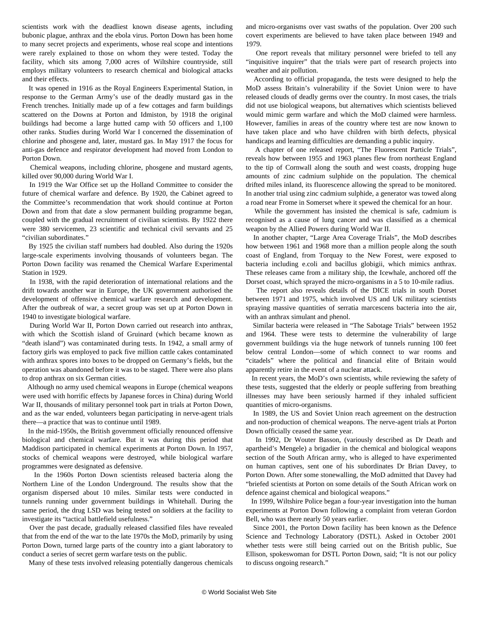scientists work with the deadliest known disease agents, including bubonic plague, anthrax and the ebola virus. Porton Down has been home to many secret projects and experiments, whose real scope and intentions were rarely explained to those on whom they were tested. Today the facility, which sits among 7,000 acres of Wiltshire countryside, still employs military volunteers to research chemical and biological attacks and their effects.

 It was opened in 1916 as the Royal Engineers Experimental Station, in response to the German Army's use of the deadly mustard gas in the French trenches. Initially made up of a few cottages and farm buildings scattered on the Downs at Porton and Idmiston, by 1918 the original buildings had become a large hutted camp with 50 officers and 1,100 other ranks. Studies during World War I concerned the dissemination of chlorine and phosgene and, later, mustard gas. In May 1917 the focus for anti-gas defence and respirator development had moved from London to Porton Down.

 Chemical weapons, including chlorine, phosgene and mustard agents, killed over 90,000 during World War I.

 In 1919 the War Office set up the Holland Committee to consider the future of chemical warfare and defence. By 1920, the Cabinet agreed to the Committee's recommendation that work should continue at Porton Down and from that date a slow permanent building programme began, coupled with the gradual recruitment of civilian scientists. By 1922 there were 380 servicemen, 23 scientific and technical civil servants and 25 "civilian subordinates."

 By 1925 the civilian staff numbers had doubled. Also during the 1920s large-scale experiments involving thousands of volunteers began. The Porton Down facility was renamed the Chemical Warfare Experimental Station in 1929.

 In 1938, with the rapid deterioration of international relations and the drift towards another war in Europe, the UK government authorised the development of offensive chemical warfare research and development. After the outbreak of war, a secret group was set up at Porton Down in 1940 to investigate biological warfare.

 During World War II, Porton Down carried out research into anthrax, with which the Scottish island of Gruinard (which became known as "death island") was contaminated during tests. In 1942, a small army of factory girls was employed to pack five million cattle cakes contaminated with anthrax spores into boxes to be dropped on Germany's fields, but the operation was abandoned before it was to be staged. There were also plans to drop anthrax on six German cities.

 Although no army used chemical weapons in Europe (chemical weapons were used with horrific effects by Japanese forces in China) during World War II, thousands of military personnel took part in trials at Porton Down, and as the war ended, volunteers began participating in nerve-agent trials there—a practice that was to continue until 1989.

 In the mid-1950s, the British government officially renounced offensive biological and chemical warfare. But it was during this period that Maddison participated in chemical experiments at Porton Down. In 1957, stocks of chemical weapons were destroyed, while biological warfare programmes were designated as defensive.

 In the 1960s Porton Down scientists released bacteria along the Northern Line of the London Underground. The results show that the organism dispersed about 10 miles. Similar tests were conducted in tunnels running under government buildings in Whitehall. During the same period, the drug LSD was being tested on soldiers at the facility to investigate its "tactical battlefield usefulness."

 Over the past decade, gradually released classified files have revealed that from the end of the war to the late 1970s the MoD, primarily by using Porton Down, turned large parts of the country into a giant laboratory to conduct a series of secret germ warfare tests on the public.

Many of these tests involved releasing potentially dangerous chemicals

and micro-organisms over vast swaths of the population. Over 200 such covert experiments are believed to have taken place between 1949 and 1979.

 One report reveals that military personnel were briefed to tell any "inquisitive inquirer" that the trials were part of research projects into weather and air pollution.

 According to official propaganda, the tests were designed to help the MoD assess Britain's vulnerability if the Soviet Union were to have released clouds of deadly germs over the country. In most cases, the trials did not use biological weapons, but alternatives which scientists believed would mimic germ warfare and which the MoD claimed were harmless. However, families in areas of the country where test are now known to have taken place and who have children with birth defects, physical handicaps and learning difficulties are demanding a public inquiry.

 A chapter of one released report, "The Fluorescent Particle Trials", reveals how between 1955 and 1963 planes flew from northeast England to the tip of Cornwall along the south and west coasts, dropping huge amounts of zinc cadmium sulphide on the population. The chemical drifted miles inland, its fluorescence allowing the spread to be monitored. In another trial using zinc cadmium sulphide, a generator was towed along a road near Frome in Somerset where it spewed the chemical for an hour.

 While the government has insisted the chemical is safe, cadmium is recognised as a cause of lung cancer and was classified as a chemical weapon by the Allied Powers during World War II.

 In another chapter, "Large Area Coverage Trials", the MoD describes how between 1961 and 1968 more than a million people along the south coast of England, from Torquay to the New Forest, were exposed to bacteria including e.coli and bacillus globigii, which mimics anthrax. These releases came from a military ship, the Icewhale, anchored off the Dorset coast, which sprayed the micro-organisms in a 5 to 10-mile radius.

 The report also reveals details of the DICE trials in south Dorset between 1971 and 1975, which involved US and UK military scientists spraying massive quantities of serratia marcescens bacteria into the air, with an anthrax simulant and phenol.

 Similar bacteria were released in "The Sabotage Trials" between 1952 and 1964. These were tests to determine the vulnerability of large government buildings via the huge network of tunnels running 100 feet below central London—some of which connect to war rooms and "citadels" where the political and financial elite of Britain would apparently retire in the event of a nuclear attack.

 In recent years, the MoD's own scientists, while reviewing the safety of these tests, suggested that the elderly or people suffering from breathing illnesses may have been seriously harmed if they inhaled sufficient quantities of micro-organisms.

 In 1989, the US and Soviet Union reach agreement on the destruction and non-production of chemical weapons. The nerve-agent trials at Porton Down officially ceased the same year.

 In 1992, Dr Wouter Basson, (variously described as Dr Death and apartheid's Mengele) a brigadier in the chemical and biological weapons section of the South African army, who is alleged to have experimented on human captives, sent one of his subordinates Dr Brian Davey, to Porton Down. After some stonewalling, the MoD admitted that Davey had "briefed scientists at Porton on some details of the South African work on defence against chemical and biological weapons."

 In 1999, Wiltshire Police began a four-year investigation into the human experiments at Porton Down following a complaint from veteran Gordon Bell, who was there nearly 50 years earlier.

 Since 2001, the Porton Down facility has been known as the Defence Science and Technology Laboratory (DSTL). Asked in October 2001 whether tests were still being carried out on the British public, Sue Ellison, spokeswoman for DSTL Porton Down, said; "It is not our policy to discuss ongoing research."